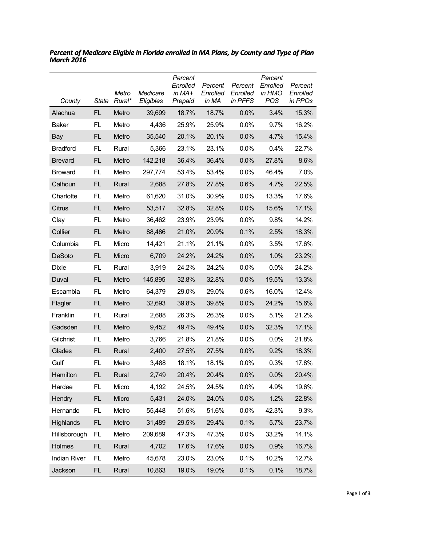| County              | <b>State</b> | Metro<br>Rural* | Medicare<br>Eligibles | Percent<br>Enrolled<br>in $MA+$<br>Prepaid | Percent<br>Enrolled<br>in MA | Percent<br>Enrolled<br>in PFFS | Percent<br>Enrolled<br>in HMO<br><b>POS</b> | Percent<br>Enrolled<br>in PPOs |
|---------------------|--------------|-----------------|-----------------------|--------------------------------------------|------------------------------|--------------------------------|---------------------------------------------|--------------------------------|
| Alachua             | FL.          | Metro           | 39,699                | 18.7%                                      | 18.7%                        | 0.0%                           | 3.4%                                        | 15.3%                          |
| Baker               | FL.          | Metro           | 4,436                 | 25.9%                                      | 25.9%                        | $0.0\%$                        | 9.7%                                        | 16.2%                          |
| Bay                 | FL.          | Metro           | 35,540                | 20.1%                                      | 20.1%                        | 0.0%                           | 4.7%                                        | 15.4%                          |
| <b>Bradford</b>     | FL.          | Rural           | 5,366                 | 23.1%                                      | 23.1%                        | 0.0%                           | 0.4%                                        | 22.7%                          |
| <b>Brevard</b>      | FL.          | Metro           | 142,218               | 36.4%                                      | 36.4%                        | 0.0%                           | 27.8%                                       | 8.6%                           |
| <b>Broward</b>      | FL.          | Metro           | 297,774               | 53.4%                                      | 53.4%                        | $0.0\%$                        | 46.4%                                       | 7.0%                           |
| Calhoun             | FL.          | Rural           | 2,688                 | 27.8%                                      | 27.8%                        | 0.6%                           | 4.7%                                        | 22.5%                          |
| Charlotte           | FL.          | Metro           | 61,620                | 31.0%                                      | 30.9%                        | $0.0\%$                        | 13.3%                                       | 17.6%                          |
| Citrus              | FL.          | Metro           | 53,517                | 32.8%                                      | 32.8%                        | 0.0%                           | 15.6%                                       | 17.1%                          |
| Clay                | FL.          | Metro           | 36,462                | 23.9%                                      | 23.9%                        | 0.0%                           | 9.8%                                        | 14.2%                          |
| Collier             | FL.          | Metro           | 88,486                | 21.0%                                      | 20.9%                        | 0.1%                           | 2.5%                                        | 18.3%                          |
| Columbia            | FL.          | Micro           | 14,421                | 21.1%                                      | 21.1%                        | 0.0%                           | 3.5%                                        | 17.6%                          |
| <b>DeSoto</b>       | FL.          | Micro           | 6,709                 | 24.2%                                      | 24.2%                        | 0.0%                           | 1.0%                                        | 23.2%                          |
| Dixie               | FL.          | Rural           | 3,919                 | 24.2%                                      | 24.2%                        | 0.0%                           | 0.0%                                        | 24.2%                          |
| Duval               | FL.          | Metro           | 145,895               | 32.8%                                      | 32.8%                        | 0.0%                           | 19.5%                                       | 13.3%                          |
| Escambia            | FL.          | Metro           | 64,379                | 29.0%                                      | 29.0%                        | 0.6%                           | 16.0%                                       | 12.4%                          |
| Flagler             | FL.          | Metro           | 32,693                | 39.8%                                      | 39.8%                        | 0.0%                           | 24.2%                                       | 15.6%                          |
| Franklin            | FL.          | Rural           | 2,688                 | 26.3%                                      | 26.3%                        | $0.0\%$                        | 5.1%                                        | 21.2%                          |
| Gadsden             | FL.          | Metro           | 9,452                 | 49.4%                                      | 49.4%                        | 0.0%                           | 32.3%                                       | 17.1%                          |
| Gilchrist           | FL.          | Metro           | 3,766                 | 21.8%                                      | 21.8%                        | 0.0%                           | 0.0%                                        | 21.8%                          |
| Glades              | FL.          | Rural           | 2,400                 | 27.5%                                      | 27.5%                        | 0.0%                           | 9.2%                                        | 18.3%                          |
| Gulf                | FL.          | Metro           | 3,488                 | 18.1%                                      | 18.1%                        | $0.0\%$                        | 0.3%                                        | 17.8%                          |
| Hamilton            | FL           | Rural           | 2,749                 | 20.4%                                      | 20.4%                        | 0.0%                           | 0.0%                                        | 20.4%                          |
| Hardee              | FL           | Micro           | 4,192                 | 24.5%                                      | 24.5%                        | 0.0%                           | 4.9%                                        | 19.6%                          |
| Hendry              | FL           | Micro           | 5,431                 | 24.0%                                      | 24.0%                        | 0.0%                           | 1.2%                                        | 22.8%                          |
| Hernando            | FL           | Metro           | 55,448                | 51.6%                                      | 51.6%                        | 0.0%                           | 42.3%                                       | 9.3%                           |
| Highlands           | <b>FL</b>    | Metro           | 31,489                | 29.5%                                      | 29.4%                        | 0.1%                           | 5.7%                                        | 23.7%                          |
| Hillsborough        | FL           | Metro           | 209,689               | 47.3%                                      | 47.3%                        | 0.0%                           | 33.2%                                       | 14.1%                          |
| Holmes              | FL           | Rural           | 4,702                 | 17.6%                                      | 17.6%                        | 0.0%                           | 0.9%                                        | 16.7%                          |
| <b>Indian River</b> | FL           | Metro           | 45,678                | 23.0%                                      | 23.0%                        | 0.1%                           | 10.2%                                       | 12.7%                          |
| Jackson             | FL           | Rural           | 10,863                | 19.0%                                      | 19.0%                        | 0.1%                           | 0.1%                                        | 18.7%                          |

*Percent of Medicare Eligible in Florida enrolled in MA Plans, by County and Type of Plan March 2016*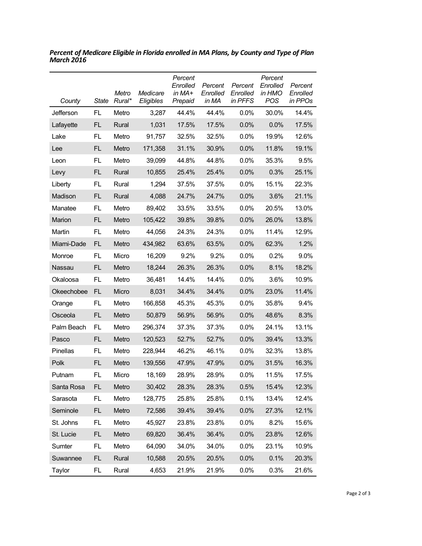| County     | State     | Metro<br>Rural* | Medicare<br>Eligibles | Percent<br>Enrolled<br>in MA+<br>Prepaid | Percent<br>Enrolled<br>in MA | Percent<br>Enrolled<br>in PFFS | Percent<br>Enrolled<br>in HMO<br><b>POS</b> | Percent<br>Enrolled<br>in PPOs |
|------------|-----------|-----------------|-----------------------|------------------------------------------|------------------------------|--------------------------------|---------------------------------------------|--------------------------------|
| Jefferson  | FL.       | Metro           | 3,287                 | 44.4%                                    | 44.4%                        | 0.0%                           | 30.0%                                       | 14.4%                          |
| Lafayette  | <b>FL</b> | Rural           | 1,031                 | 17.5%                                    | 17.5%                        | 0.0%                           | 0.0%                                        | 17.5%                          |
| Lake       | FL.       | Metro           | 91,757                | 32.5%                                    | 32.5%                        | 0.0%                           | 19.9%                                       | 12.6%                          |
| Lee        | FL.       | Metro           | 171,358               | 31.1%                                    | 30.9%                        | 0.0%                           | 11.8%                                       | 19.1%                          |
| Leon       | FL.       | Metro           | 39,099                | 44.8%                                    | 44.8%                        | 0.0%                           | 35.3%                                       | 9.5%                           |
| Levy       | <b>FL</b> | Rural           | 10,855                | 25.4%                                    | 25.4%                        | 0.0%                           | 0.3%                                        | 25.1%                          |
| Liberty    | FL.       | Rural           | 1,294                 | 37.5%                                    | 37.5%                        | 0.0%                           | 15.1%                                       | 22.3%                          |
| Madison    | FL        | Rural           | 4,088                 | 24.7%                                    | 24.7%                        | 0.0%                           | 3.6%                                        | 21.1%                          |
| Manatee    | FL        | Metro           | 89,402                | 33.5%                                    | 33.5%                        | 0.0%                           | 20.5%                                       | 13.0%                          |
| Marion     | <b>FL</b> | Metro           | 105,422               | 39.8%                                    | 39.8%                        | 0.0%                           | 26.0%                                       | 13.8%                          |
| Martin     | FL.       | Metro           | 44,056                | 24.3%                                    | 24.3%                        | 0.0%                           | 11.4%                                       | 12.9%                          |
| Miami-Dade | FL.       | Metro           | 434,982               | 63.6%                                    | 63.5%                        | 0.0%                           | 62.3%                                       | 1.2%                           |
| Monroe     | FL.       | Micro           | 16,209                | 9.2%                                     | 9.2%                         | 0.0%                           | 0.2%                                        | 9.0%                           |
| Nassau     | <b>FL</b> | Metro           | 18,244                | 26.3%                                    | 26.3%                        | 0.0%                           | 8.1%                                        | 18.2%                          |
| Okaloosa   | FL.       | Metro           | 36,481                | 14.4%                                    | 14.4%                        | 0.0%                           | 3.6%                                        | 10.9%                          |
| Okeechobee | <b>FL</b> | Micro           | 8,031                 | 34.4%                                    | 34.4%                        | 0.0%                           | 23.0%                                       | 11.4%                          |
| Orange     | FL.       | Metro           | 166,858               | 45.3%                                    | 45.3%                        | 0.0%                           | 35.8%                                       | 9.4%                           |
| Osceola    | <b>FL</b> | Metro           | 50,879                | 56.9%                                    | 56.9%                        | 0.0%                           | 48.6%                                       | 8.3%                           |
| Palm Beach | FL.       | Metro           | 296,374               | 37.3%                                    | 37.3%                        | 0.0%                           | 24.1%                                       | 13.1%                          |
| Pasco      | FL.       | Metro           | 120,523               | 52.7%                                    | 52.7%                        | 0.0%                           | 39.4%                                       | 13.3%                          |
| Pinellas   | FL.       | Metro           | 228,944               | 46.2%                                    | 46.1%                        | 0.0%                           | 32.3%                                       | 13.8%                          |
| Polk       | FL        | Metro           | 139,556               | 47.9%                                    | 47.9%                        | 0.0%                           | 31.5%                                       | 16.3%                          |
| Putnam     | FL        | Micro           | 18,169                | 28.9%                                    | 28.9%                        | 0.0%                           | 11.5%                                       | 17.5%                          |
| Santa Rosa | FL        | Metro           | 30,402                | 28.3%                                    | 28.3%                        | 0.5%                           | 15.4%                                       | 12.3%                          |
| Sarasota   | FL.       | Metro           | 128,775               | 25.8%                                    | 25.8%                        | 0.1%                           | 13.4%                                       | 12.4%                          |
| Seminole   | FL        | Metro           | 72,586                | 39.4%                                    | 39.4%                        | 0.0%                           | 27.3%                                       | 12.1%                          |
| St. Johns  | FL.       | Metro           | 45,927                | 23.8%                                    | 23.8%                        | 0.0%                           | 8.2%                                        | 15.6%                          |
| St. Lucie  | FL.       | Metro           | 69,820                | 36.4%                                    | 36.4%                        | 0.0%                           | 23.8%                                       | 12.6%                          |
| Sumter     | FL.       | Metro           | 64,090                | 34.0%                                    | 34.0%                        | 0.0%                           | 23.1%                                       | 10.9%                          |
| Suwannee   | FL        | Rural           | 10,588                | 20.5%                                    | 20.5%                        | 0.0%                           | 0.1%                                        | 20.3%                          |
| Taylor     | FL        | Rural           | 4,653                 | 21.9%                                    | 21.9%                        | 0.0%                           | 0.3%                                        | 21.6%                          |

*Percent of Medicare Eligible in Florida enrolled in MA Plans, by County and Type of Plan March 2016*